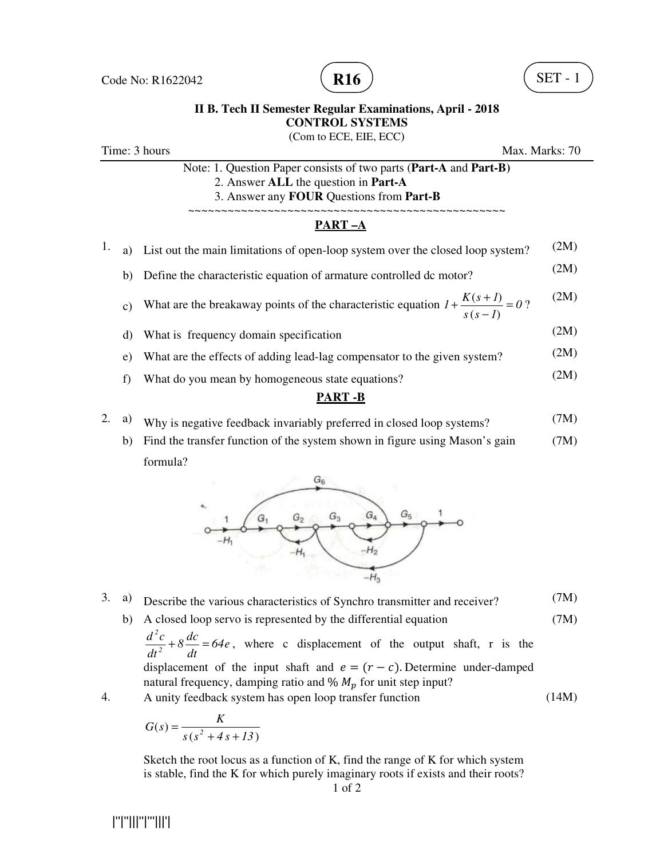

(Com to ECE, EIE, ECC)

Time: 3 hours Max. Marks: 70

| Note: 1. Question Paper consists of two parts (Part-A and Part-B) |  |
|-------------------------------------------------------------------|--|
| 2. Answer ALL the question in Part-A                              |  |
| 3. Answer any <b>FOUR</b> Questions from <b>Part-B</b>            |  |
|                                                                   |  |

#### **PART –A**

| ning n |                 |                                                                                                |      |  |  |
|--------|-----------------|------------------------------------------------------------------------------------------------|------|--|--|
|        | f)              | What do you mean by homogeneous state equations?                                               | (2M) |  |  |
|        | e)              | What are the effects of adding lead-lag compensator to the given system?                       | (2M) |  |  |
|        | d)              | What is frequency domain specification                                                         | (2M) |  |  |
|        | $\mathcal{C}$ ) | What are the breakaway points of the characteristic equation $1 + \frac{K(s+1)}{s(s-1)} = 0$ ? | (2M) |  |  |
|        |                 | b) Define the characteristic equation of armature controlled dc motor?                         | (2M) |  |  |
|        |                 | a) List out the main limitations of open-loop system over the closed loop system?              | (2M) |  |  |

## **PART -B**

- 2. a) Why is negative feedback invariably preferred in closed loop systems? (7M)
	- b) Find the transfer function of the system shown in figure using Mason's gain formula? (7M)



- 3. a) Describe the various characteristics of Synchro transmitter and receiver? (7M)
	- b) A closed loop servo is represented by the differential equation *64e dt*  $8\frac{dc}{d}$ *dt*  $d^2c$ *2 2*  $+8\frac{ac}{d} = 64e$ , where c displacement of the output shaft, r is the displacement of the input shaft and  $e = (r - c)$ . Determine under-damped natural frequency, damping ratio and  $\% M_p$  for unit step input? (7M) (14M)

4. A unity feedback system has open loop transfer function

$$
G(s) = \frac{K}{s\left(s^2 + 4s + 13\right)}
$$

Sketch the root locus as a function of K, find the range of K for which system is stable, find the K for which purely imaginary roots if exists and their roots?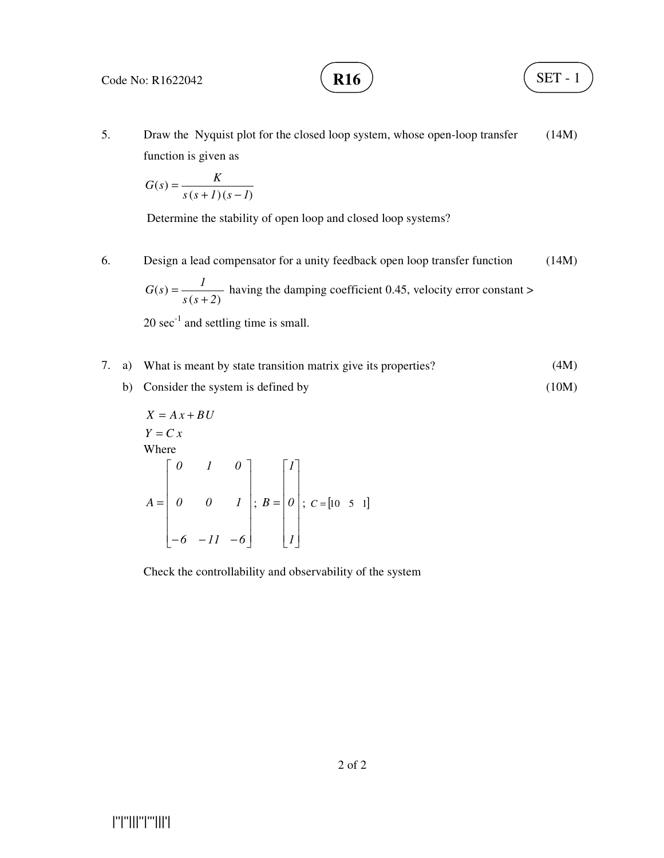**R16**  $\big)$  (SET - 1)

5. Draw the Nyquist plot for the closed loop system, whose open-loop transfer function is given as (14M)

$$
G(s) = \frac{K}{s(s+1)(s-I)}
$$

Determine the stability of open loop and closed loop systems?

6. Design a lead compensator for a unity feedback open loop transfer function  $(s + 2)$  $\left( s\right)$ *s s 2*  $G(s) = \frac{1}{s}$ +  $=\frac{1}{\sqrt{2}}$  having the damping coefficient 0.45, velocity error constant > (14M)

 $20 \text{ sec}^{-1}$  and settling time is small.

- 7. a) What is meant by state transition matrix give its properties? (4M)
	- b) Consider the system is defined by (10M)

$$
X = Ax + BU
$$
  
\n
$$
Y = C x
$$
  
\nWhere  
\n
$$
A = \begin{bmatrix} 0 & 1 & 0 \\ 0 & 0 & 1 \\ -6 & -11 & -6 \end{bmatrix}; B = \begin{bmatrix} 1 \\ 0 \\ 0 \\ 1 \end{bmatrix}; C = [10 \ 5 \ 1]
$$

Check the controllability and observability of the system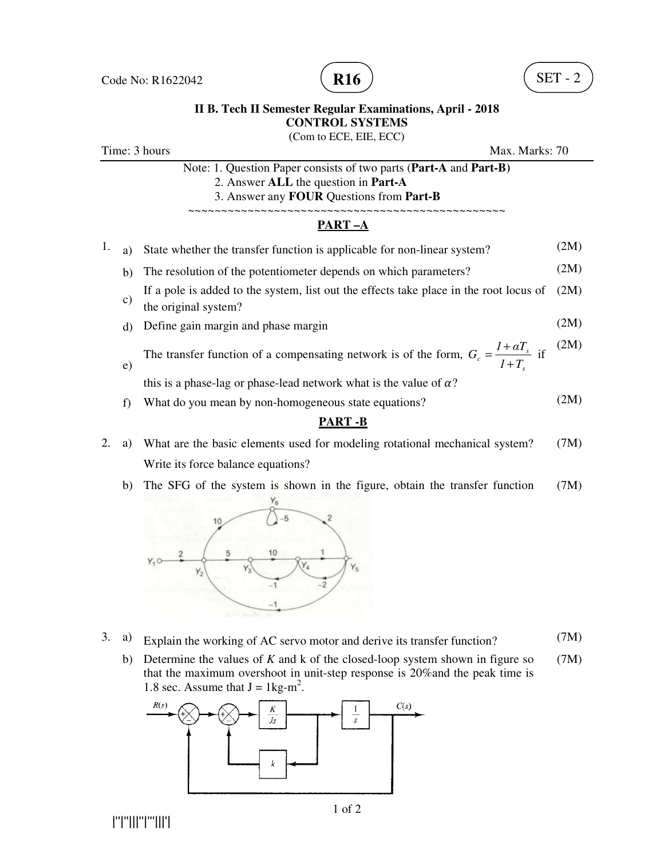

(Com to ECE, EIE, ECC)

| Time: 3 hours |  |  |
|---------------|--|--|
|---------------|--|--|

|    | Max. Marks: 70<br>Time: 3 hours |                                                                                                                                                       |      |
|----|---------------------------------|-------------------------------------------------------------------------------------------------------------------------------------------------------|------|
|    |                                 | Note: 1. Question Paper consists of two parts (Part-A and Part-B)<br>2. Answer ALL the question in Part-A<br>3. Answer any FOUR Questions from Part-B |      |
|    |                                 | PART-A                                                                                                                                                |      |
| 1. | a)                              | State whether the transfer function is applicable for non-linear system?                                                                              | (2M) |
|    | b)                              | The resolution of the potentiometer depends on which parameters?                                                                                      | (2M) |
|    | $\mathbf{c})$                   | If a pole is added to the system, list out the effects take place in the root locus of<br>the original system?                                        | (2M) |
|    | d)                              | Define gain margin and phase margin                                                                                                                   | (2M) |
|    | $\mathbf{e})$                   | The transfer function of a compensating network is of the form, $G_c = \frac{1 + \alpha T_s}{1 + T_s}$ if                                             | (2M) |
|    |                                 | this is a phase-lag or phase-lead network what is the value of $\alpha$ ?                                                                             |      |
|    | f                               | What do you mean by non-homogeneous state equations?                                                                                                  | (2M) |
|    |                                 | <b>PART-B</b>                                                                                                                                         |      |
|    | a)                              | What are the basic elements used for modeling rotational mechanical system?                                                                           | (7M) |
|    |                                 | Write its force balance equations?                                                                                                                    |      |
|    |                                 |                                                                                                                                                       |      |

 b) The SFG of the system is shown in the figure, obtain the transfer function (7M)  $Y_6$ 



- 3. a) Explain the working of AC servo motor and derive its transfer function? (7M)
	- b) Determine the values of *K* and k of the closed-loop system shown in figure so that the maximum overshoot in unit-step response is 20%and the peak time is 1.8 sec. Assume that  $J = 1 \text{kg-m}^2$ . (7M)

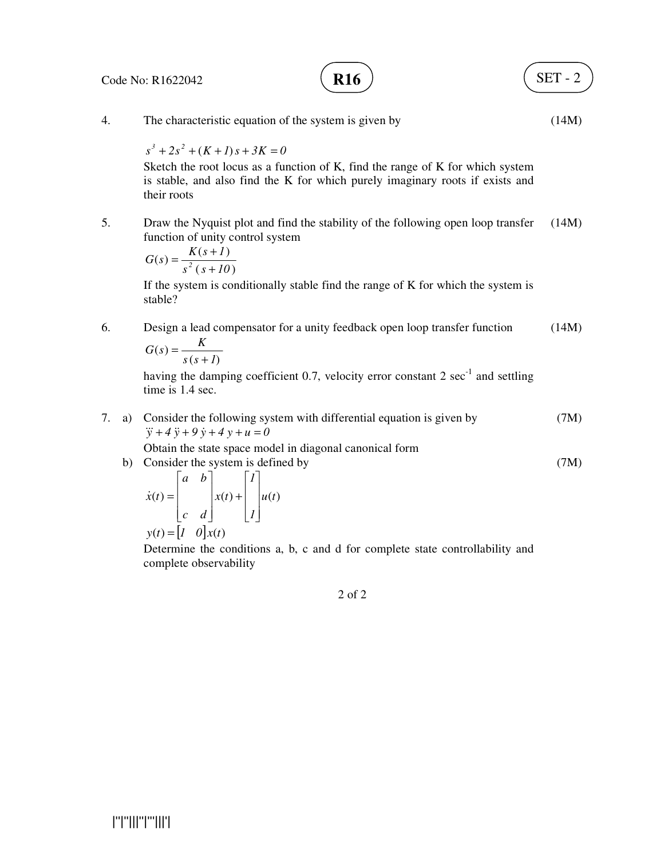Code No: R1622042

**R16**  $\sqrt{SET-2}$ 

4. The characteristic equation of the system is given by  $s^3 + 2s^2 + (K + I)s + 3K = 0$ Sketch the root locus as a function of K, find the range of K for which system is stable, and also find the K for which purely imaginary roots if exists and their roots (14M) 5. Draw the Nyquist plot and find the stability of the following open loop transfer function of unity control system  $(s+10)$  $(s) = \frac{K(s+1)}{s}$ *s s 10*  $G(s) = \frac{K(s+1)}{s^2 (s+1)}$  $=\frac{K(s+)}{s+}$ If the system is conditionally stable find the range of K for which the system is stable? (14M) 6. Design a lead compensator for a unity feedback open loop transfer function  $(s+1)$  $\left( s\right)$  $s(s+1)$  $G(s) = \frac{K}{s}$ + = having the damping coefficient 0.7, velocity error constant  $2 \sec^{-1}$  and settling time is 1.4 sec. (14M) 7. a) Consider the following system with differential equation is given by  $\dddot{y} + 4 \ddot{y} + 9 \dot{y} + 4 y + u = 0$ Obtain the state space model in diagonal canonical form (7M) b) Consider the system is defined by  $(t) =$   $x(t) +$   $u(t)$ *1 1 x t c d a b x t*  $\overline{\phantom{a}}$  $\overline{\phantom{a}}$  $\overline{\phantom{a}}$  $\overline{\phantom{a}}$ 1  $\mathsf{L}$  $\mathbf{r}$  $\mathbf{r}$ L Γ +  $\overline{\phantom{a}}$  $\overline{\phantom{a}}$  $\overline{\phantom{a}}$  $\overline{\phantom{a}}$ 1  $\mathsf{L}$  $\mathbf{r}$  $\mathbf{r}$ L Γ  $\dot{x}(t) =$  $y(t) = \begin{vmatrix} 1 & 0 \end{vmatrix} x(t)$ Determine the conditions a, b, c and d for complete state controllability and complete observability (7M) 2 of 2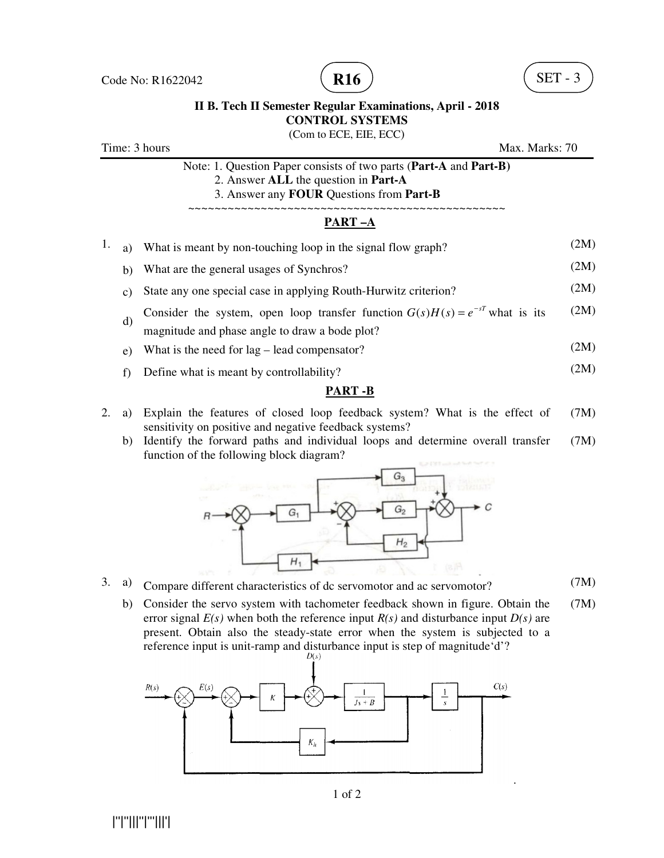

(Com to ECE, EIE, ECC)

|    | Time: 3 hours<br>Max. Marks: 70<br>Note: 1. Question Paper consists of two parts (Part-A and Part-B)<br>2. Answer ALL the question in Part-A<br>3. Answer any FOUR Questions from Part-B |                                                                                                                                     |      |  |
|----|------------------------------------------------------------------------------------------------------------------------------------------------------------------------------------------|-------------------------------------------------------------------------------------------------------------------------------------|------|--|
|    |                                                                                                                                                                                          |                                                                                                                                     |      |  |
|    |                                                                                                                                                                                          | PART-A                                                                                                                              |      |  |
| 1. | a)                                                                                                                                                                                       | What is meant by non-touching loop in the signal flow graph?                                                                        | (2M) |  |
|    | b)                                                                                                                                                                                       | What are the general usages of Synchros?                                                                                            | (2M) |  |
|    | $\mathcal{C}$ )                                                                                                                                                                          | State any one special case in applying Routh-Hurwitz criterion?                                                                     | (2M) |  |
|    | d)                                                                                                                                                                                       | Consider the system, open loop transfer function $G(s)H(s) = e^{-sT}$ what is its<br>magnitude and phase angle to draw a bode plot? | (2M) |  |
|    | e)                                                                                                                                                                                       | What is the need for $lag$ – lead compensator?                                                                                      | (2M) |  |
|    | f)                                                                                                                                                                                       | Define what is meant by controllability?                                                                                            | (2M) |  |
|    |                                                                                                                                                                                          | PART -B                                                                                                                             |      |  |
|    |                                                                                                                                                                                          | $\mathcal{L}$ . Find to the function of decided to further to the $\mathbf{M}$ $\mathbf{M}$                                         |      |  |

- 2. a) Explain the features of closed loop feedback system? What is the effect of sensitivity on positive and negative feedback systems? (7M)
	- b) Identify the forward paths and individual loops and determine overall transfer function of the following block diagram? (7M)



- 3. a) Compare different characteristics of dc servomotor and ac servomotor? (7M)
	- b) Consider the servo system with tachometer feedback shown in figure. Obtain the error signal  $E(s)$  when both the reference input  $R(s)$  and disturbance input  $D(s)$  are present. Obtain also the steady-state error when the system is subjected to a reference input is unit-ramp and disturbance input is step of magnitude 'd'? (7M)

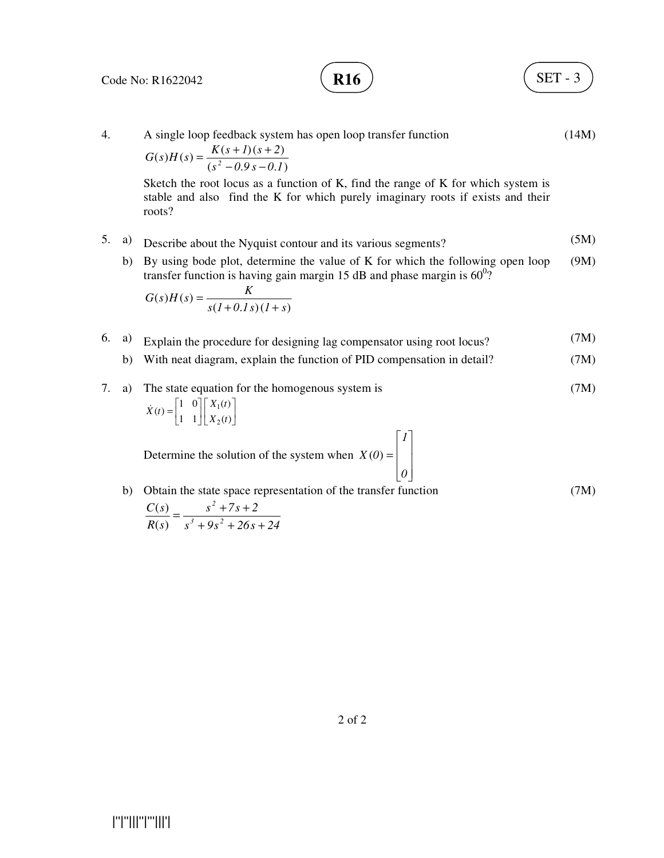$$
\mathbf{R16} \quad \begin{array}{c} \end{array}
$$

4. A single loop feedback system has open loop transfer function  $(s^2 - 0.9s - 0.1)$  $(s)H(s) = \frac{K(s+1)(s+2)}{s^2(0.8s-0.1)}$  $s^2 - 0.9s - 0.1$  $G(s)H(s) = \frac{K(s+1)(s+2)}{(s^2-0.9s-0.1)}$  $=\frac{K(s+1)(s+1)}{s+1}$ Sketch the root locus as a function of K, find the range of K for which system is stable and also find the K for which purely imaginary roots if exists and their roots? (14M) 5. a) Describe about the Nyquist contour and its various segments? (5M) b) By using bode plot, determine the value of K for which the following open loop transfer function is having gain margin 15 dB and phase margin is  $60^0$ ?  $(l + 0.1 s)(1 + s)$  $(s)H(s)$  $s(l+0.1s)(l+s)$  $G(s)H(s) = \frac{K}{s+1}$  $+ 0.1 s)(1 +$ = (9M) 6. a) Explain the procedure for designing lag compensator using root locus? (7M) b) With neat diagram, explain the function of PID compensation in detail? (7M) 7. a) The state equation for the homogenous system is  $\overline{\phantom{a}}$ ٦ l Γ  $\overline{\phantom{a}}$ 1  $\overline{\mathsf{L}}$  $= \begin{bmatrix} 1 & 0 \\ 1 & 1 \end{bmatrix} \begin{bmatrix} X_1(t) \\ X_2(t) \end{bmatrix}$  $(t)$ 1 1  $(t) = \begin{vmatrix} 1 & 0 \\ 1 & 1 \end{vmatrix}$   $\begin{vmatrix} X_1 \\ Y_2 \end{vmatrix}$ 2  $X_2(t)$  $\dot{X}(t) = \begin{vmatrix} 1 & 0 \\ 1 & 1 \end{vmatrix} X_1(t)$ Determine the solution of the system when  $\overline{\phantom{a}}$  $\overline{\phantom{a}}$  $\overline{\phantom{a}}$ J 1  $\mathsf{L}$  $\mathbf{r}$  $\mathbf{r}$ L Γ = *0 1*  $X(0) =$  | (7M) b) Obtain the state space representation of the transfer function  $s^3 + 9s^2 + 26s + 24$  $s^2 + 7s + 2$ *R s C s*  $3 \pm 0g^2$ *2*  $+9s^2 + 26s +$  $=\frac{s^2 + 7s + }{s^2 + 7s + }$  $\left( s\right)$  $\left( s\right)$ (7M)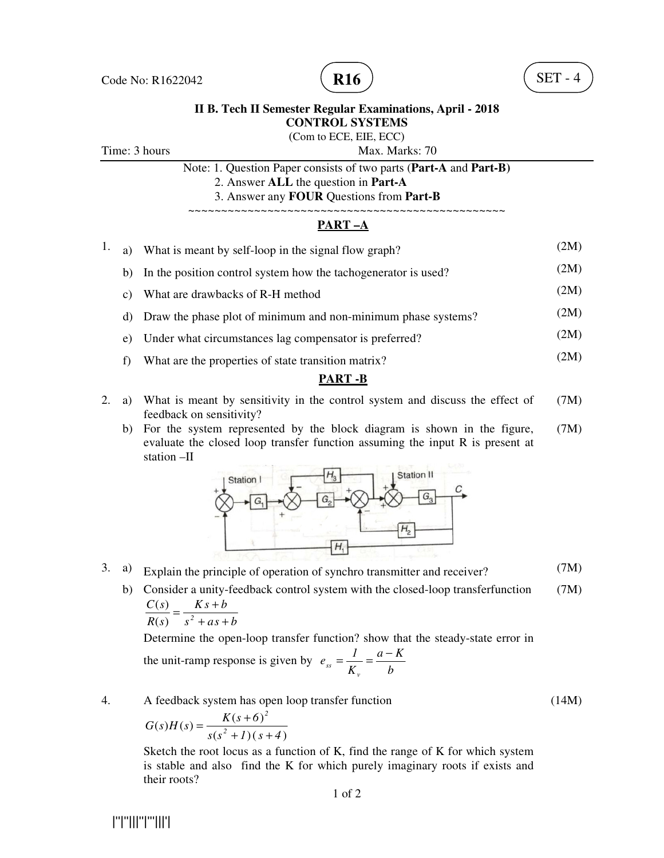

(Com to ECE, EIE, ECC)

Time: 3 hours Max. Marks: 70

Note: 1. Question Paper consists of two parts (**Part-A** and **Part-B)**

2. Answer **ALL** the question in **Part-A**

3. Answer any **FOUR** Questions from **Part-B**

#### ~~~~~~~~~~~~~~~~~~~~~~~~~~~~~~~~~~~~~~~~~~~~~~~~ **PART –A**

- 1. a) What is meant by self-loop in the signal flow graph? (2M) b) In the position control system how the tachogenerator is used? (2M) c) What are drawbacks of R-H method  $(2M)$ d) Draw the phase plot of minimum and non-minimum phase systems? (2M) e) Under what circumstances lag compensator is preferred? (2M)
	- f) What are the properties of state transition matrix? (2M)

## **PART -B**

- 2. a) What is meant by sensitivity in the control system and discuss the effect of feedback on sensitivity? (7M)
	- b) For the system represented by the block diagram is shown in the figure, evaluate the closed loop transfer function assuming the input R is present at station –II (7M)



- 3. a) Explain the principle of operation of synchro transmitter and receiver? (7M)
	- b) Consider a unity-feedback control system with the closed-loop transferfunction  $\frac{C(s)}{s} = \frac{Ks + b}{s}$ (7M)

*b*

$$
R(s) \quad s^2 + as + b
$$

Determine the open-loop transfer function? show that the steady-state error in *a K* − *1*

the unit-ramp response is given by 
$$
e_{ss} = \frac{1}{K_v} = \frac{1}{2}
$$

4. A feedback system has open loop transfer function

$$
G(s)H(s) = \frac{K(s+6)^2}{s(s^2+1)(s+4)}
$$

Sketch the root locus as a function of K, find the range of K for which system is stable and also find the K for which purely imaginary roots if exists and their roots?

|''|''|||''|'''|||'|

(14M)